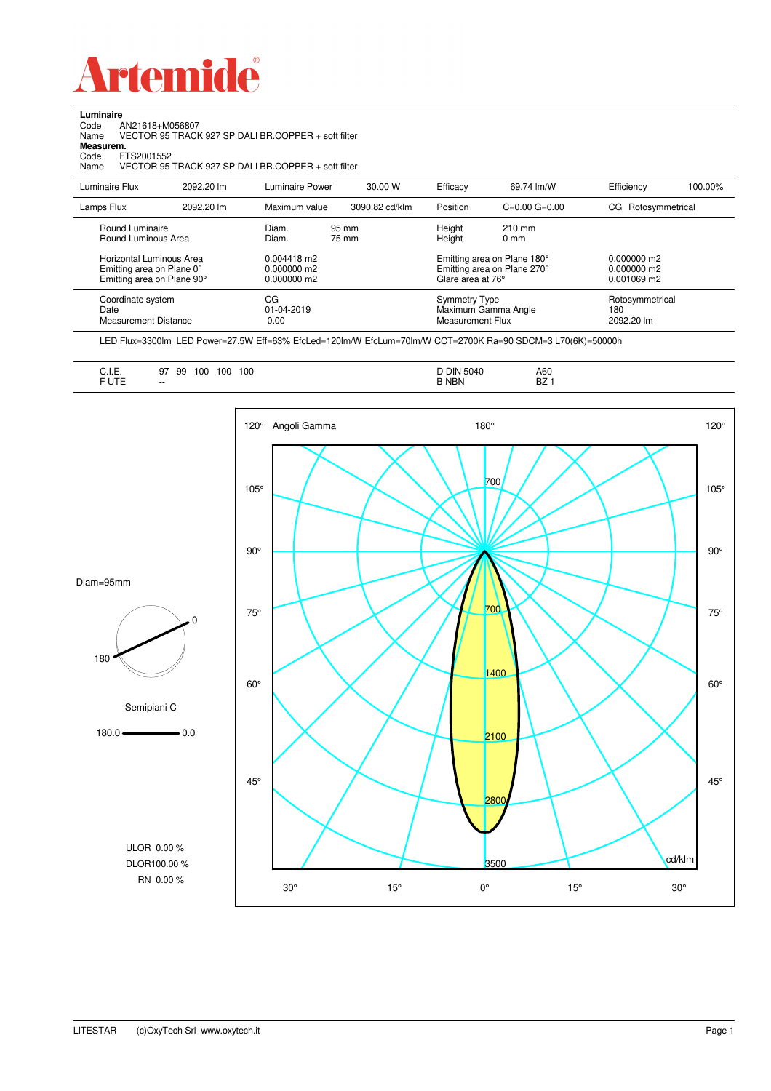

**Luminaire**

| Code<br>AN21618+M056807<br>Name<br>Measurem.<br>FTS2001552<br>Code<br>Name          |            | VECTOR 95 TRACK 927 SP DALI BR.COPPER + soft filter<br>VECTOR 95 TRACK 927 SP DALI BR.COPPER + soft filter |                |                                          |                                                            |                                               |         |
|-------------------------------------------------------------------------------------|------------|------------------------------------------------------------------------------------------------------------|----------------|------------------------------------------|------------------------------------------------------------|-----------------------------------------------|---------|
| Luminaire Flux                                                                      | 2092.20 lm | Luminaire Power                                                                                            | 30.00 W        | Efficacy                                 | 69.74 lm/W                                                 | Efficiency                                    | 100.00% |
| Lamps Flux                                                                          | 2092.20 lm | Maximum value                                                                                              | 3090.82 cd/klm | Position                                 | $C=0.00$ $G=0.00$                                          | CG Rotosymmetrical                            |         |
| Round Luminaire<br>Round Luminous Area                                              |            | Diam.<br>Diam.                                                                                             | 95 mm<br>75 mm | Height<br>Height                         | 210 mm<br>0 <sub>mm</sub>                                  |                                               |         |
| Horizontal Luminous Area<br>Emitting area on Plane 0°<br>Emitting area on Plane 90° |            | $0.004418$ m2<br>0.000000 m2<br>0.000000 m2                                                                |                | Glare area at 76°                        | Emitting area on Plane 180°<br>Emitting area on Plane 270° | $0.000000$ m2<br>$0.000000$ m2<br>0.001069 m2 |         |
| Coordinate system<br>Date<br>Measurement Distance                                   |            | CG<br>01-04-2019<br>0.00                                                                                   |                | <b>Symmetry Type</b><br>Measurement Flux | Maximum Gamma Angle                                        | Rotosymmetrical<br>180<br>2092.20 lm          |         |

LED Flux=3300lm LED Power=27.5W Eff=63% EfcLed=120lm/W EfcLum=70lm/W CCT=2700K Ra=90 SDCM=3 L70(6K)=50000h